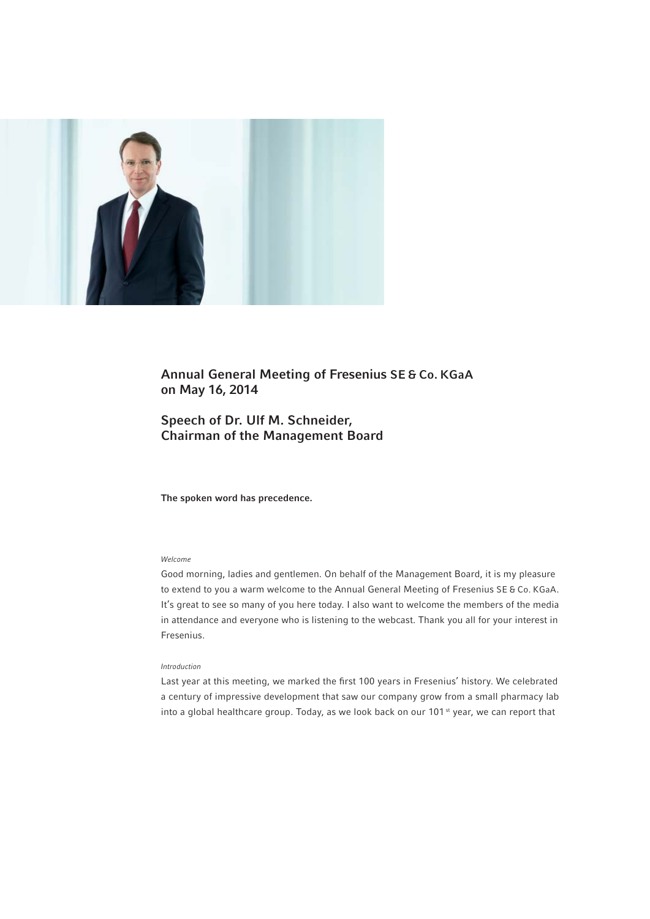

# Annual General Meeting of Fresenius SE & Co. KGaA on May 16, 2014

# Speech of Dr. Ulf M. Schneider, Chairman of the Management Board

The spoken word has precedence.

# Welcome

Good morning, ladies and gentlemen. On behalf of the Management Board, it is my pleasure to extend to you a warm welcome to the Annual General Meeting of Fresenius SE & Co. KGaA. It's great to see so many of you here today. I also want to welcome the members of the media in attendance and everyone who is listening to the webcast. Thank you all for your interest in Fresenius.

## Introduction

Last year at this meeting, we marked the first 100 years in Fresenius' history. We celebrated a century of impressive development that saw our company grow from a small pharmacy lab into a global healthcare group. Today, as we look back on our 101<sup>st</sup> year, we can report that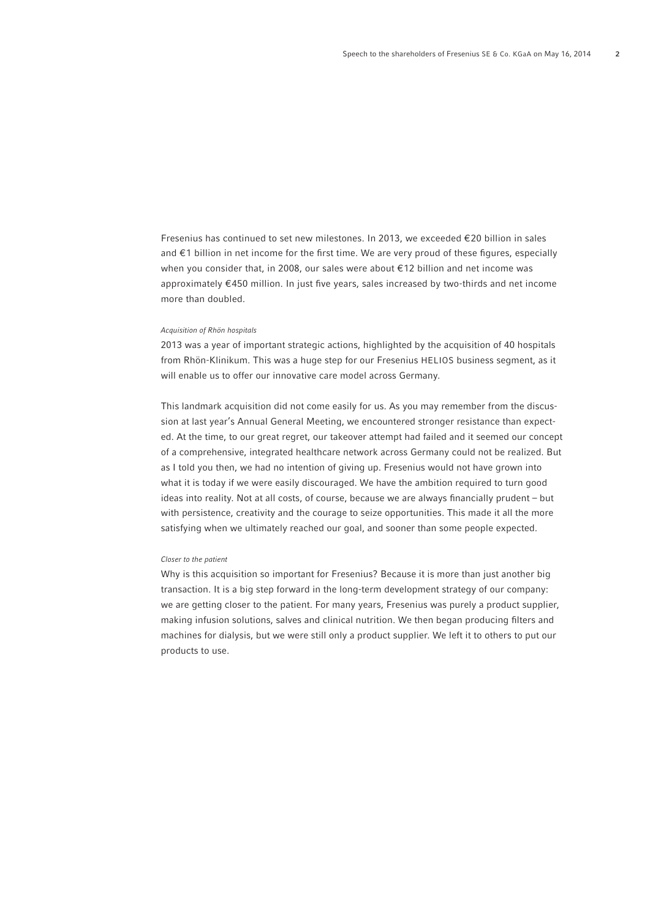Fresenius has continued to set new milestones. In 2013, we exceeded  $\epsilon$  20 billion in sales and €1 billion in net income for the first time. We are very proud of these figures, especially when you consider that, in 2008, our sales were about € 12 billion and net income was approximately  $€450$  million. In just five years, sales increased by two-thirds and net income more than doubled.

#### Acquisition of Rhön hospitals

2013 was a year of important strategic actions, highlighted by the acquisition of 40 hospitals from Rhön-Klinikum. This was a huge step for our Fresenius HELIOS business segment, as it will enable us to offer our innovative care model across Germany.

This landmark acquisition did not come easily for us. As you may remember from the discussion at last year's Annual General Meeting, we encountered stronger resistance than expected. At the time, to our great regret, our takeover attempt had failed and it seemed our concept of a comprehensive, integrated healthcare network across Germany could not be realized. But as I told you then, we had no intention of giving up. Fresenius would not have grown into what it is today if we were easily discouraged. We have the ambition required to turn good ideas into reality. Not at all costs, of course, because we are always financially prudent – but with persistence, creativity and the courage to seize opportunities. This made it all the more satisfying when we ultimately reached our goal, and sooner than some people expected.

## Closer to the patient

Why is this acquisition so important for Fresenius? Because it is more than just another big transaction. It is a big step forward in the long-term development strategy of our company: we are getting closer to the patient. For many years, Fresenius was purely a product supplier, making infusion solutions, salves and clinical nutrition. We then began producing filters and machines for dialysis, but we were still only a product supplier. We left it to others to put our products to use.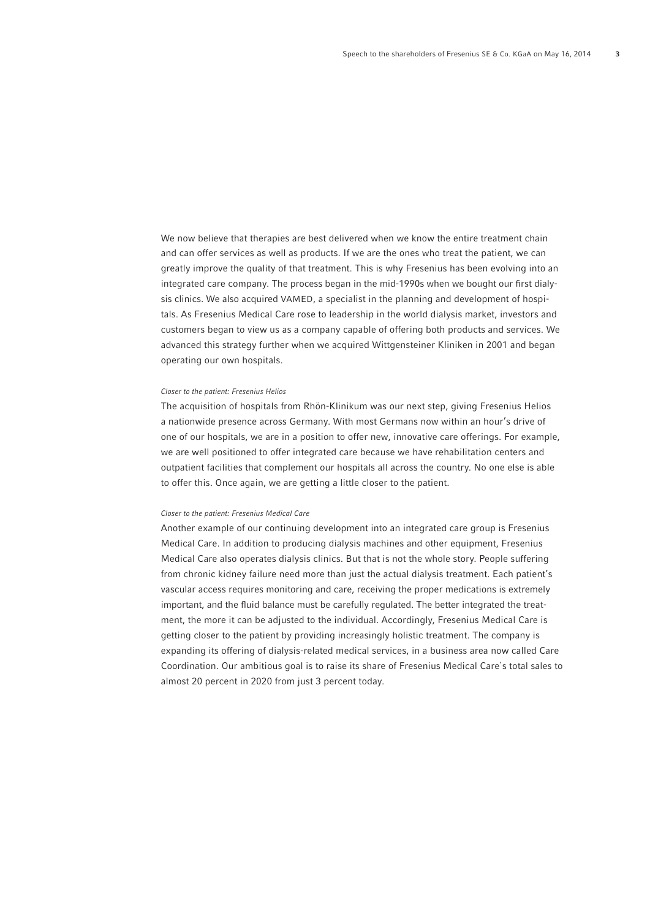We now believe that therapies are best delivered when we know the entire treatment chain and can offer services as well as products. If we are the ones who treat the patient, we can greatly improve the quality of that treatment. This is why Fresenius has been evolving into an integrated care company. The process began in the mid-1990s when we bought our first dialysis clinics. We also acquired VAMED, a specialist in the planning and development of hospitals. As Fresenius Medical Care rose to leadership in the world dialysis market, investors and customers began to view us as a company capable of offering both products and services. We advanced this strategy further when we acquired Wittgensteiner Kliniken in 2001 and began operating our own hospitals.

## Closer to the patient: Fresenius Helios

The acquisition of hospitals from Rhön-Klinikum was our next step, giving Fresenius Helios a nationwide presence across Germany. With most Germans now within an hour's drive of one of our hospitals, we are in a position to offer new, innovative care offerings. For example, we are well positioned to offer integrated care because we have rehabilitation centers and outpatient facilities that complement our hospitals all across the country. No one else is able to offer this. Once again, we are getting a little closer to the patient.

#### Closer to the patient: Fresenius Medical Care

Another example of our continuing development into an integrated care group is Fresenius Medical Care. In addition to producing dialysis machines and other equipment, Fresenius Medical Care also operates dialysis clinics. But that is not the whole story. People suffering from chronic kidney failure need more than just the actual dialysis treatment. Each patient's vascular access requires monitoring and care, receiving the proper medications is extremely important, and the fluid balance must be carefully regulated. The better integrated the treatment, the more it can be adjusted to the individual. Accordingly, Fresenius Medical Care is getting closer to the patient by providing increasingly holistic treatment. The company is expanding its offering of dialysis-related medical services, in a business area now called Care Coordination. Our ambitious goal is to raise its share of Fresenius Medical Care`s total sales to almost 20 percent in 2020 from just 3 percent today.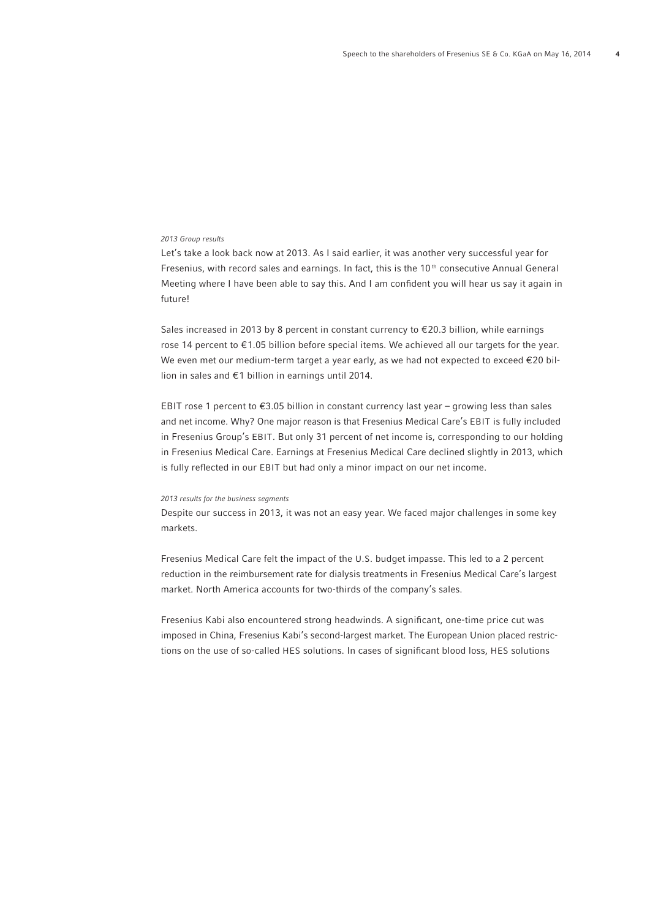# 2013 Group results

Let's take a look back now at 2013. As I said earlier, it was another very successful year for Fresenius, with record sales and earnings. In fact, this is the 10<sup>th</sup> consecutive Annual General Meeting where I have been able to say this. And I am confident you will hear us say it again in future!

Sales increased in 2013 by 8 percent in constant currency to € 20.3 billion, while earnings rose 14 percent to  $\epsilon$ 1.05 billion before special items. We achieved all our targets for the year. We even met our medium-term target a year early, as we had not expected to exceed €20 billion in sales and € 1 billion in earnings until 2014.

EBIT rose 1 percent to  $\epsilon$ 3.05 billion in constant currency last year – growing less than sales and net income. Why? One major reason is that Fresenius Medical Care's EBIT is fully included in Fresenius Group's EBIT. But only 31 percent of net income is, corresponding to our holding in Fresenius Medical Care. Earnings at Fresenius Medical Care declined slightly in 2013, which is fully reflected in our EBIT but had only a minor impact on our net income.

## 2013 results for the business segments

Despite our success in 2013, it was not an easy year. We faced major challenges in some key markets.

Fresenius Medical Care felt the impact of the U.S. budget impasse. This led to a 2 percent reduction in the reimbursement rate for dialysis treatments in Fresenius Medical Care's largest market. North America accounts for two-thirds of the company's sales.

Fresenius Kabi also encountered strong headwinds. A significant, one-time price cut was imposed in China, Fresenius Kabi's second-largest market. The European Union placed restrictions on the use of so-called HES solutions. In cases of significant blood loss, HES solutions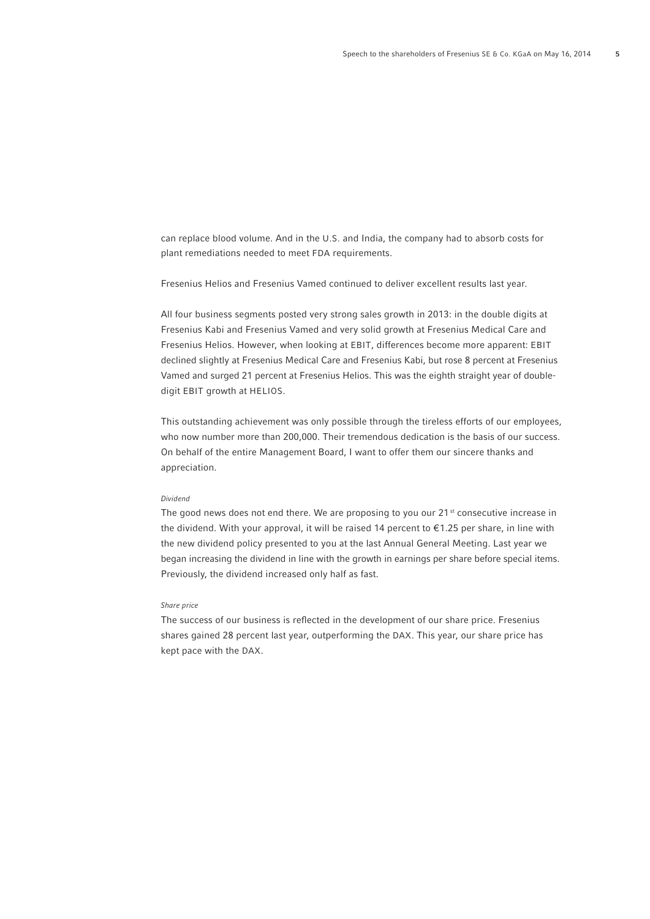can replace blood volume. And in the U.S. and India, the company had to absorb costs for plant remediations needed to meet FDA requirements.

Fresenius Helios and Fresenius Vamed continued to deliver excellent results last year.

All four business segments posted very strong sales growth in 2013: in the double digits at Fresenius Kabi and Fresenius Vamed and very solid growth at Fresenius Medical Care and Fresenius Helios. However, when looking at EBIT, differences become more apparent: EBIT declined slightly at Fresenius Medical Care and Fresenius Kabi, but rose 8 percent at Fresenius Vamed and surged 21 percent at Fresenius Helios. This was the eighth straight year of doubledigit EBIT growth at HELIOS.

This outstanding achievement was only possible through the tireless efforts of our employees, who now number more than 200,000. Their tremendous dedication is the basis of our success. On behalf of the entire Management Board, I want to offer them our sincere thanks and appreciation.

# Dividend

The good news does not end there. We are proposing to you our  $21^{st}$  consecutive increase in the dividend. With your approval, it will be raised 14 percent to € 1.25 per share, in line with the new dividend policy presented to you at the last Annual General Meeting. Last year we began increasing the dividend in line with the growth in earnings per share before special items. Previously, the dividend increased only half as fast.

## Share price

The success of our business is reflected in the development of our share price. Fresenius shares gained 28 percent last year, outperforming the DAX. This year, our share price has kept pace with the DAX.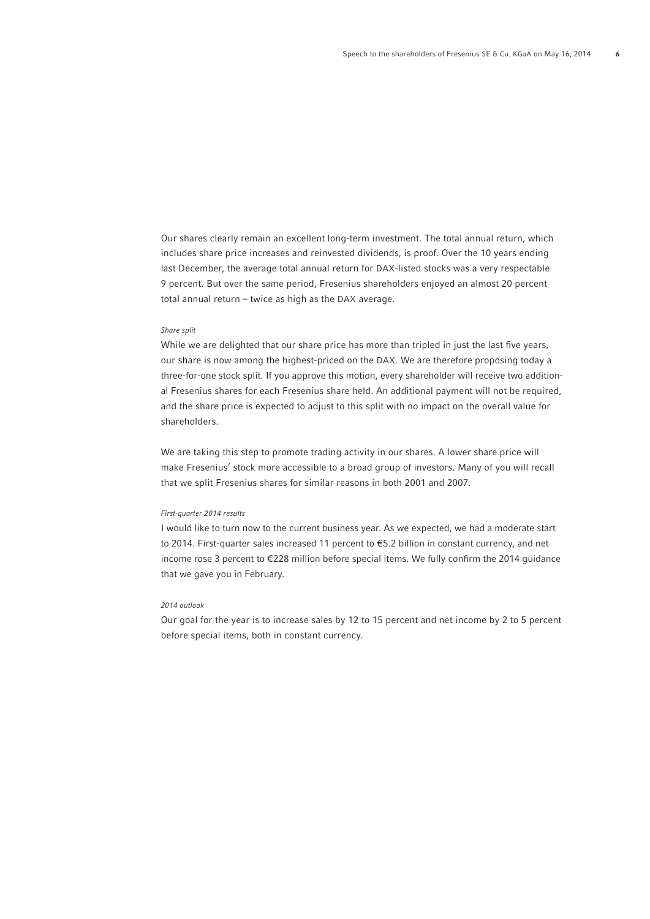Our shares clearly remain an excellent long-term investment. The total annual return, which includes share price increases and reinvested dividends, is proof. Over the 10 years ending last December, the average total annual return for DAX-listed stocks was a very respectable 9 percent. But over the same period, Fresenius shareholders enjoyed an almost 20 percent total annual return – twice as high as the DAX average.

#### Share split

While we are delighted that our share price has more than tripled in just the last five years, our share is now among the highest-priced on the DAX. We are therefore proposing today a three-for-one stock split. If you approve this motion, every shareholder will receive two additional Fresenius shares for each Fresenius share held. An additional payment will not be required, and the share price is expected to adjust to this split with no impact on the overall value for shareholders.

We are taking this step to promote trading activity in our shares. A lower share price will make Fresenius' stock more accessible to a broad group of investors. Many of you will recall that we split Fresenius shares for similar reasons in both 2001 and 2007.

#### First-quarter 2014 results

I would like to turn now to the current business year. As we expected, we had a moderate start to 2014. First-quarter sales increased 11 percent to €5.2 billion in constant currency, and net income rose 3 percent to  $E$ 228 million before special items. We fully confirm the 2014 guidance that we gave you in February.

#### 2014 outlook

Our goal for the year is to increase sales by 12 to 15 percent and net income by 2 to 5 percent before special items, both in constant currency.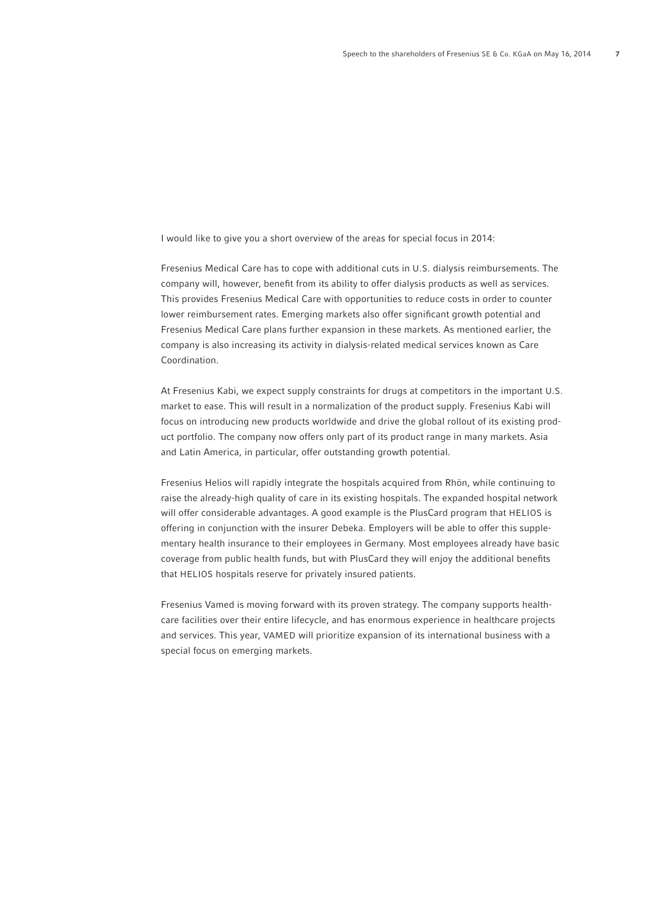I would like to give you a short overview of the areas for special focus in 2014:

Fresenius Medical Care has to cope with additional cuts in U.S. dialysis reimbursements. The company will, however, benefit from its ability to offer dialysis products as well as services. This provides Fresenius Medical Care with opportunities to reduce costs in order to counter lower reimbursement rates. Emerging markets also offer significant growth potential and Fresenius Medical Care plans further expansion in these markets. As mentioned earlier, the company is also increasing its activity in dialysis-related medical services known as Care Coordination.

At Fresenius Kabi, we expect supply constraints for drugs at competitors in the important U.S. market to ease. This will result in a normalization of the product supply. Fresenius Kabi will focus on introducing new products worldwide and drive the global rollout of its existing product portfolio. The company now offers only part of its product range in many markets. Asia and Latin America, in particular, offer outstanding growth potential.

Fresenius Helios will rapidly integrate the hospitals acquired from Rhön, while continuing to raise the already-high quality of care in its existing hospitals. The expanded hospital network will offer considerable advantages. A good example is the PlusCard program that HELIOS is offering in conjunction with the insurer Debeka. Employers will be able to offer this supplementary health insurance to their employees in Germany. Most employees already have basic coverage from public health funds, but with PlusCard they will enjoy the additional benefits that HELIOS hospitals reserve for privately insured patients.

Fresenius Vamed is moving forward with its proven strategy. The company supports healthcare facilities over their entire lifecycle, and has enormous experience in healthcare projects and services. This year, VAMED will prioritize expansion of its international business with a special focus on emerging markets.